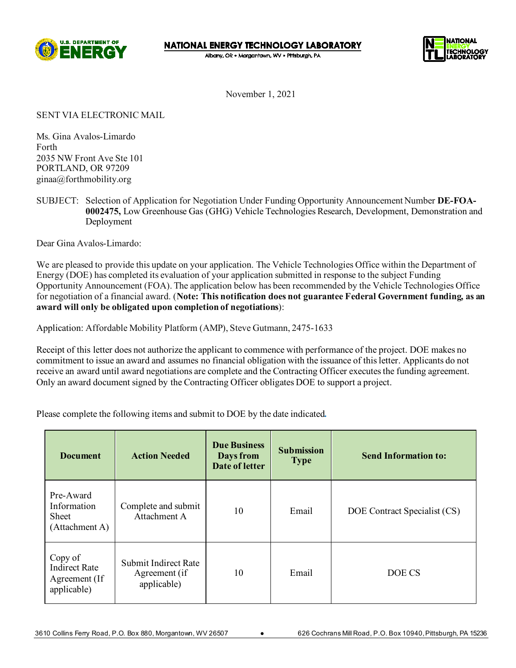

**NATIONAL ENERGY TECHNOLOGY LABORATORY** 

Albany, OR · Morgantown, WV · Pittsburgh, PA



November 1, 2021

SENT VIA ELECTRONIC MAIL

Ms. Gina Avalos-Limardo Forth 2035 NW Front Ave Ste 101 PORTLAND, OR 97209 ginaa@forthmobility.org

SUBJECT: Selection of Application for Negotiation Under Funding Opportunity Announcement Number **DE-FOA-0002475,** Low Greenhouse Gas (GHG) Vehicle Technologies Research, Development, Demonstration and Deployment

Dear Gina Avalos-Limardo:

We are pleased to provide this update on your application. The Vehicle Technologies Office within the Department of Energy (DOE) has completed its evaluation of your application submitted in response to the subject Funding Opportunity Announcement (FOA). The application below has been recommended by the Vehicle Technologies Office for negotiation of a financial award. (**Note: This notification does not guarantee Federal Government funding, as an award will only be obligated upon completion of negotiations**):

Application: Affordable Mobility Platform (AMP), Steve Gutmann, 2475-1633

Receipt of this letter does not authorize the applicant to commence with performance of the project. DOE makes no commitment to issue an award and assumes no financial obligation with the issuance of this letter. Applicants do not receive an award until award negotiations are complete and the Contracting Officer executes the funding agreement. Only an award document signed by the Contracting Officer obligates DOE to support a project.

Please complete the following items and submit to DOE by the date indicated*.*

| <b>Document</b>                                                 | <b>Action Needed</b>                                 | <b>Due Business</b><br>Days from<br>Date of letter | <b>Submission</b><br><b>Type</b> | <b>Send Information to:</b>  |
|-----------------------------------------------------------------|------------------------------------------------------|----------------------------------------------------|----------------------------------|------------------------------|
| Pre-Award<br>Information<br>Sheet<br>(Attachment A)             | Complete and submit<br>Attachment A                  | 10                                                 | Email                            | DOE Contract Specialist (CS) |
| Copy of<br><b>Indirect Rate</b><br>Agreement (If<br>applicable) | Submit Indirect Rate<br>Agreement (if<br>applicable) | 10                                                 | Email                            | DOE CS                       |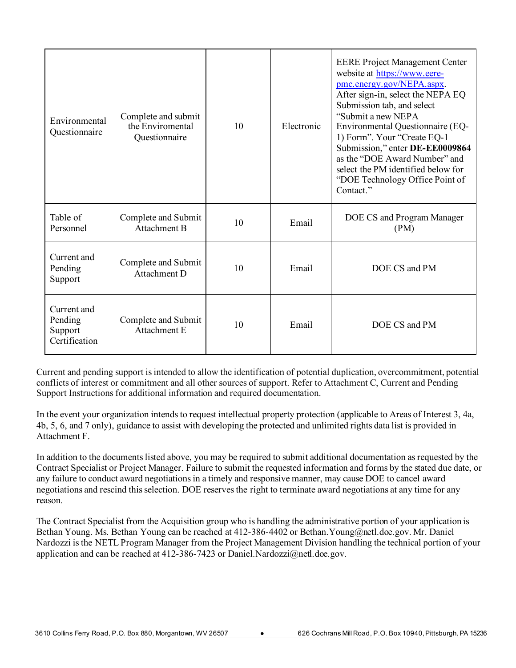| Environmental<br>Questionnaire                     | Complete and submit<br>the Enviromental<br>Questionnaire | 10 | Electronic | <b>EERE Project Management Center</b><br>website at https://www.eere-<br>pmc.energy.gov/NEPA.aspx.<br>After sign-in, select the NEPA EQ<br>Submission tab, and select<br>"Submit a new NEPA<br>Environmental Questionnaire (EQ-<br>1) Form". Your "Create EQ-1<br>Submission," enter DE-EE0009864<br>as the "DOE Award Number" and<br>select the PM identified below for<br>"DOE Technology Office Point of<br>Contact." |
|----------------------------------------------------|----------------------------------------------------------|----|------------|--------------------------------------------------------------------------------------------------------------------------------------------------------------------------------------------------------------------------------------------------------------------------------------------------------------------------------------------------------------------------------------------------------------------------|
| Table of<br>Personnel                              | Complete and Submit<br>Attachment B                      | 10 | Email      | DOE CS and Program Manager<br>(PM)                                                                                                                                                                                                                                                                                                                                                                                       |
| Current and<br>Pending<br>Support                  | Complete and Submit<br>Attachment D                      | 10 | Email      | DOE CS and PM                                                                                                                                                                                                                                                                                                                                                                                                            |
| Current and<br>Pending<br>Support<br>Certification | Complete and Submit<br>Attachment E                      | 10 | Email      | DOE CS and PM                                                                                                                                                                                                                                                                                                                                                                                                            |

Current and pending support is intended to allow the identification of potential duplication, overcommitment, potential conflicts of interest or commitment and all other sources of support. Refer to Attachment C, Current and Pending Support Instructions for additional information and required documentation.

In the event your organization intends to request intellectual property protection (applicable to Areas of Interest 3, 4a, 4b, 5, 6, and 7 only), guidance to assist with developing the protected and unlimited rights data list is provided in Attachment F.

In addition to the documents listed above, you may be required to submit additional documentation as requested by the Contract Specialist or Project Manager. Failure to submit the requested information and forms by the stated due date, or any failure to conduct award negotiations in a timely and responsive manner, may cause DOE to cancel award negotiations and rescind this selection. DOE reserves the right to terminate award negotiations at any time for any reason.

The Contract Specialist from the Acquisition group who is handling the administrative portion of your application is Bethan Young. Ms. Bethan Young can be reached at 412-386-4402 or Bethan.Young@netl.doe.gov. Mr. Daniel Nardozzi is the NETL Program Manager from the Project Management Division handling the technical portion of your application and can be reached at 412-386-7423 or Daniel.Nardozzi@netl.doe.gov.